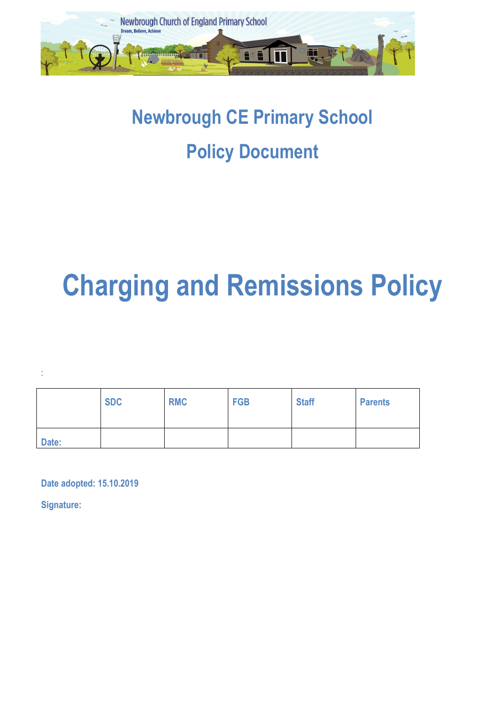

# **Newbrough CE Primary School Policy Document**

# **Charging and Remissions Policy**

:

|       | <b>SDC</b> | <b>RMC</b> | <b>FGB</b> | <b>Staff</b> | <b>Parents</b> |
|-------|------------|------------|------------|--------------|----------------|
| Date: |            |            |            |              |                |

**Date adopted: 15.10.2019** 

**Signature:**